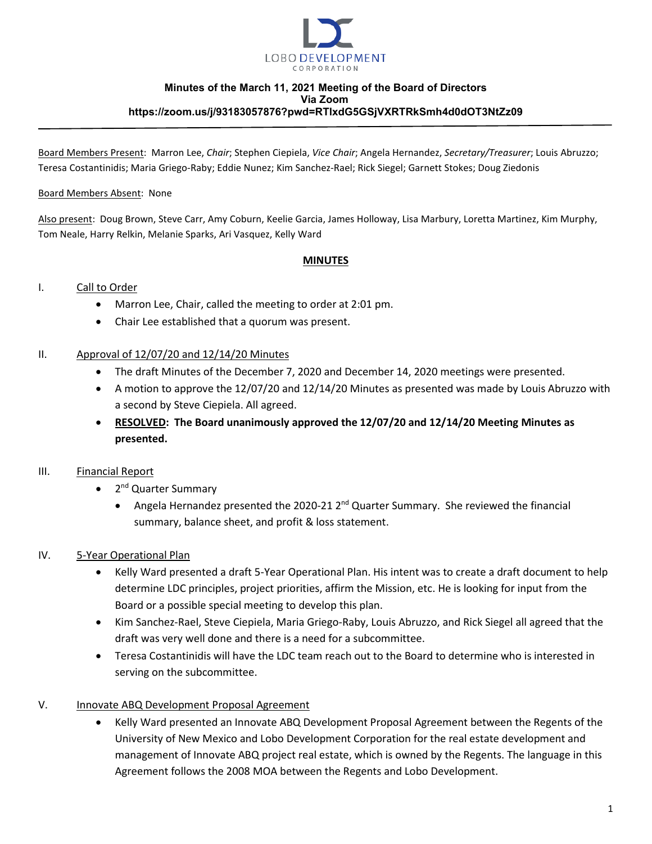

#### **Minutes of the March 11, 2021 Meeting of the Board of Directors Via Zoom https://zoom.us/j/93183057876?pwd=RTlxdG5GSjVXRTRkSmh4d0dOT3NtZz09**

Board Members Present: Marron Lee, *Chair*; Stephen Ciepiela, *Vice Chair*; Angela Hernandez, *Secretary/Treasurer*; Louis Abruzzo; Teresa Costantinidis; Maria Griego-Raby; Eddie Nunez; Kim Sanchez-Rael; Rick Siegel; Garnett Stokes; Doug Ziedonis

#### Board Members Absent: None

Also present: Doug Brown, Steve Carr, Amy Coburn, Keelie Garcia, James Holloway, Lisa Marbury, Loretta Martinez, Kim Murphy, Tom Neale, Harry Relkin, Melanie Sparks, Ari Vasquez, Kelly Ward

#### **MINUTES**

## I. Call to Order

- Marron Lee, Chair, called the meeting to order at 2:01 pm.
- Chair Lee established that a quorum was present.

#### II. Approval of  $12/07/20$  and  $12/14/20$  Minutes

- The draft Minutes of the December 7, 2020 and December 14, 2020 meetings were presented.
- A motion to approve the 12/07/20 and 12/14/20 Minutes as presented was made by Louis Abruzzo with a second by Steve Ciepiela. All agreed.
- **RESOLVED: The Board unanimously approved the 12/07/20 and 12/14/20 Meeting Minutes as presented.**

## III. Financial Report

- 2<sup>nd</sup> Quarter Summary
	- Angela Hernandez presented the 2020-21  $2^{nd}$  Quarter Summary. She reviewed the financial summary, balance sheet, and profit & loss statement.

## IV. 5-Year Operational Plan

- Kelly Ward presented a draft 5-Year Operational Plan. His intent was to create a draft document to help determine LDC principles, project priorities, affirm the Mission, etc. He is looking for input from the Board or a possible special meeting to develop this plan.
- Kim Sanchez-Rael, Steve Ciepiela, Maria Griego-Raby, Louis Abruzzo, and Rick Siegel all agreed that the draft was very well done and there is a need for a subcommittee.
- Teresa Costantinidis will have the LDC team reach out to the Board to determine who is interested in serving on the subcommittee.

## V. Innovate ABQ Development Proposal Agreement

• Kelly Ward presented an Innovate ABQ Development Proposal Agreement between the Regents of the University of New Mexico and Lobo Development Corporation for the real estate development and management of Innovate ABQ project real estate, which is owned by the Regents. The language in this Agreement follows the 2008 MOA between the Regents and Lobo Development.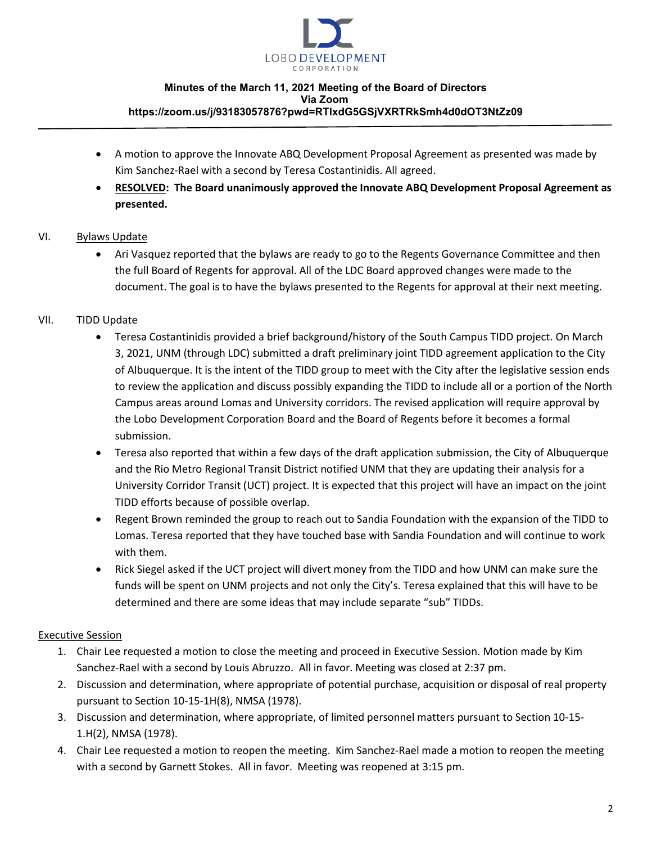

#### **Minutes of the March 11, 2021 Meeting of the Board of Directors Via Zoom https://zoom.us/j/93183057876?pwd=RTlxdG5GSjVXRTRkSmh4d0dOT3NtZz09**

- A motion to approve the Innovate ABQ Development Proposal Agreement as presented was made by Kim Sanchez-Rael with a second by Teresa Costantinidis. All agreed.
- **RESOLVED: The Board unanimously approved the Innovate ABQ Development Proposal Agreement as presented.**

# VI. Bylaws Update

• Ari Vasquez reported that the bylaws are ready to go to the Regents Governance Committee and then the full Board of Regents for approval. All of the LDC Board approved changes were made to the document. The goal is to have the bylaws presented to the Regents for approval at their next meeting.

# VII. TIDD Update

- Teresa Costantinidis provided a brief background/history of the South Campus TIDD project. On March 3, 2021, UNM (through LDC) submitted a draft preliminary joint TIDD agreement application to the City of Albuquerque. It is the intent of the TIDD group to meet with the City after the legislative session ends to review the application and discuss possibly expanding the TIDD to include all or a portion of the North Campus areas around Lomas and University corridors. The revised application will require approval by the Lobo Development Corporation Board and the Board of Regents before it becomes a formal submission.
- Teresa also reported that within a few days of the draft application submission, the City of Albuquerque and the Rio Metro Regional Transit District notified UNM that they are updating their analysis for a University Corridor Transit (UCT) project. It is expected that this project will have an impact on the joint TIDD efforts because of possible overlap.
- Regent Brown reminded the group to reach out to Sandia Foundation with the expansion of the TIDD to Lomas. Teresa reported that they have touched base with Sandia Foundation and will continue to work with them.
- Rick Siegel asked if the UCT project will divert money from the TIDD and how UNM can make sure the funds will be spent on UNM projects and not only the City's. Teresa explained that this will have to be determined and there are some ideas that may include separate "sub" TIDDs.

## Executive Session

- 1. Chair Lee requested a motion to close the meeting and proceed in Executive Session. Motion made by Kim Sanchez-Rael with a second by Louis Abruzzo. All in favor. Meeting was closed at 2:37 pm.
- 2. Discussion and determination, where appropriate of potential purchase, acquisition or disposal of real property pursuant to Section 10-15-1H(8), NMSA (1978).
- 3. Discussion and determination, where appropriate, of limited personnel matters pursuant to Section 10-15- 1.H(2), NMSA (1978).
- 4. Chair Lee requested a motion to reopen the meeting. Kim Sanchez-Rael made a motion to reopen the meeting with a second by Garnett Stokes. All in favor. Meeting was reopened at 3:15 pm.